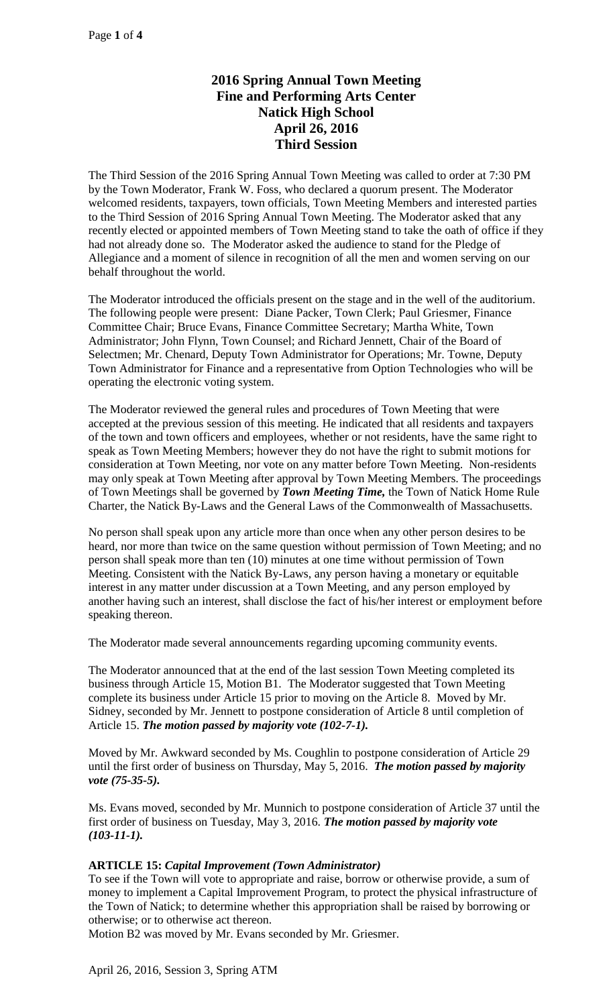# **2016 Spring Annual Town Meeting Fine and Performing Arts Center Natick High School April 26, 2016 Third Session**

The Third Session of the 2016 Spring Annual Town Meeting was called to order at 7:30 PM by the Town Moderator, Frank W. Foss, who declared a quorum present. The Moderator welcomed residents, taxpayers, town officials, Town Meeting Members and interested parties to the Third Session of 2016 Spring Annual Town Meeting. The Moderator asked that any recently elected or appointed members of Town Meeting stand to take the oath of office if they had not already done so. The Moderator asked the audience to stand for the Pledge of Allegiance and a moment of silence in recognition of all the men and women serving on our behalf throughout the world.

The Moderator introduced the officials present on the stage and in the well of the auditorium. The following people were present: Diane Packer, Town Clerk; Paul Griesmer, Finance Committee Chair; Bruce Evans, Finance Committee Secretary; Martha White, Town Administrator; John Flynn, Town Counsel; and Richard Jennett, Chair of the Board of Selectmen; Mr. Chenard, Deputy Town Administrator for Operations; Mr. Towne, Deputy Town Administrator for Finance and a representative from Option Technologies who will be operating the electronic voting system.

The Moderator reviewed the general rules and procedures of Town Meeting that were accepted at the previous session of this meeting. He indicated that all residents and taxpayers of the town and town officers and employees, whether or not residents, have the same right to speak as Town Meeting Members; however they do not have the right to submit motions for consideration at Town Meeting, nor vote on any matter before Town Meeting. Non-residents may only speak at Town Meeting after approval by Town Meeting Members. The proceedings of Town Meetings shall be governed by *Town Meeting Time,* the Town of Natick Home Rule Charter, the Natick By-Laws and the General Laws of the Commonwealth of Massachusetts.

No person shall speak upon any article more than once when any other person desires to be heard, nor more than twice on the same question without permission of Town Meeting; and no person shall speak more than ten (10) minutes at one time without permission of Town Meeting. Consistent with the Natick By-Laws, any person having a monetary or equitable interest in any matter under discussion at a Town Meeting, and any person employed by another having such an interest, shall disclose the fact of his/her interest or employment before speaking thereon.

The Moderator made several announcements regarding upcoming community events.

The Moderator announced that at the end of the last session Town Meeting completed its business through Article 15, Motion B1. The Moderator suggested that Town Meeting complete its business under Article 15 prior to moving on the Article 8. Moved by Mr. Sidney, seconded by Mr. Jennett to postpone consideration of Article 8 until completion of Article 15. *The motion passed by majority vote (102-7-1).*

Moved by Mr. Awkward seconded by Ms. Coughlin to postpone consideration of Article 29 until the first order of business on Thursday, May 5, 2016. *The motion passed by majority vote (75-35-5).*

Ms. Evans moved, seconded by Mr. Munnich to postpone consideration of Article 37 until the first order of business on Tuesday, May 3, 2016. *The motion passed by majority vote (103-11-1).*

# **ARTICLE 15:** *Capital Improvement (Town Administrator)*

To see if the Town will vote to appropriate and raise, borrow or otherwise provide, a sum of money to implement a Capital Improvement Program, to protect the physical infrastructure of the Town of Natick; to determine whether this appropriation shall be raised by borrowing or otherwise; or to otherwise act thereon.

Motion B2 was moved by Mr. Evans seconded by Mr. Griesmer.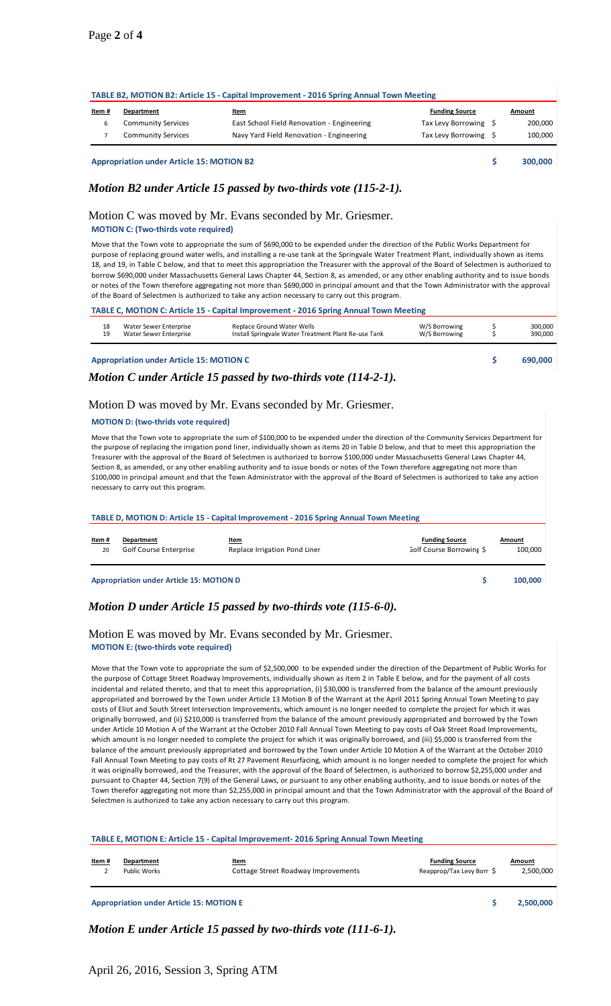## **TABLE B2, MOTION B2: Article 15 - Capital Improvement - 2016 Spring Annual Town Meeting**

| <u>Item#</u> | Department                | <u>Item</u>                                | <b>Funding Source</b> | <b>Amount</b> |
|--------------|---------------------------|--------------------------------------------|-----------------------|---------------|
|              | <b>Community Services</b> | East School Field Renovation - Engineering | Tax Levy Borrowing \$ | 200,000       |
|              | <b>Community Services</b> | Navy Yard Field Renovation - Engineering   | Tax Levy Borrowing \$ | 100,000       |
|              |                           |                                            |                       |               |

**Appropriation under Article 15: MOTION B2 \$ 300,000**

## *Motion B2 under Article 15 passed by two-thirds vote (115-2-1).*

Motion C was moved by Mr. Evans seconded by Mr. Griesmer.

#### **MOTION C: (Two-thirds vote required)**

Move that the Town vote to appropriate the sum of \$690,000 to be expended under the direction of the Public Works Department for purpose of replacing ground water wells, and installing a re-use tank at the Springvale Water Treatment Plant, individually shown as items 18, and 19, in Table C below, and that to meet this appropriation the Treasurer with the approval of the Board of Selectmen is authorized to borrow \$690,000 under Massachusetts General Laws Chapter 44, Section 8, as amended, or any other enabling authority and to issue bonds or notes of the Town therefore aggregating not more than \$690,000 in principal amount and that the Town Administrator with the approval of the Board of Selectmen is authorized to take any action necessary to carry out this program.

#### **TABLE C, MOTION C: Article 15 - Capital Improvement - 2016 Spring Annual Town Meeting**

| 18 | Water Sewer Enterprise | Replace Ground Water Wells                           | W/S Borrowing | 300.000 |
|----|------------------------|------------------------------------------------------|---------------|---------|
| 19 | Water Sewer Enterprise | Install Springvale Water Treatment Plant Re-use Tank | W/S Borrowing | 390.000 |
|    |                        |                                                      |               |         |

**Appropriation under Article 15: MOTION C \$ 690,000**

*Motion C under Article 15 passed by two-thirds vote (114-2-1).*

### Motion D was moved by Mr. Evans seconded by Mr. Griesmer.

#### **MOTION D: (two-thrids vote required)**

Move that the Town vote to appropriate the sum of \$100,000 to be expended under the direction of the Community Services Department for the purpose of replacing the irrigation pond liner, individually shown as items 20 in Table D below, and that to meet this appropriation the Treasurer with the approval of the Board of Selectmen is authorized to borrow \$100,000 under Massachusetts General Laws Chapter 44, Section 8, as amended, or any other enabling authority and to issue bonds or notes of the Town therefore aggregating not more than \$100,000 in principal amount and that the Town Administrator with the approval of the Board of Selectmen is authorized to take any action necessary to carry out this program.

# **TABLE D, MOTION D: Article 15 - Capital Improvement - 2016 Spring Annual Town Meeting**

| TABLE D, MOTION D: Article 15 - Capital Improvement - 2016 Spring Annual Town Meeting |                                                 |                                       |                                                          |                   |  |
|---------------------------------------------------------------------------------------|-------------------------------------------------|---------------------------------------|----------------------------------------------------------|-------------------|--|
| Item#<br>20                                                                           | Department<br>Golf Course Enterprise            | Item<br>Replace Irrigation Pond Liner | <b>Funding Source</b><br><b>Golf Course Borrowing \$</b> | Amount<br>100.000 |  |
|                                                                                       | <b>Appropriation under Article 15: MOTION D</b> |                                       |                                                          | 100,000           |  |

## *Motion D under Article 15 passed by two-thirds vote (115-6-0).*

## Motion E was moved by Mr. Evans seconded by Mr. Griesmer. **MOTION E: (two-thirds vote required)**

Move that the Town vote to appropriate the sum of \$2,500,000 to be expended under the direction of the Department of Public Works for the purpose of Cottage Street Roadway Improvements, individually shown as item 2 in Table E below, and for the payment of all costs incidental and related thereto, and that to meet this appropriation, (i) \$30,000 is transferred from the balance of the amount previously appropriated and borrowed by the Town under Article 13 Motion B of the Warrant at the April 2011 Spring Annual Town Meeting to pay costs of Eliot and South Street Intersection Improvements, which amount is no longer needed to complete the project for which it was originally borrowed, and (ii) \$210,000 is transferred from the balance of the amount previously appropriated and borrowed by the Town under Article 10 Motion A of the Warrant at the October 2010 Fall Annual Town Meeting to pay costs of Oak Street Road Improvements, which amount is no longer needed to complete the project for which it was originally borrowed, and (iii) \$5,000 is transferred from the balance of the amount previously appropriated and borrowed by the Town under Article 10 Motion A of the Warrant at the October 2010 Fall Annual Town Meeting to pay costs of Rt 27 Pavement Resurfacing, which amount is no longer needed to complete the project for which it was originally borrowed, and the Treasurer, with the approval of the Board of Selectmen, is authorized to borrow \$2,255,000 under and pursuant to Chapter 44, Section 7(9) of the General Laws, or pursuant to any other enabling authority, and to issue bonds or notes of the Town therefor aggregating not more than \$2,255,000 in principal amount and that the Town Administrator with the approval of the Board of Selectmen is authorized to take any action necessary to carry out this program.

#### **TABLE E, MOTION E: Article 15 - Capital Improvement- 2016 Spring Annual Town Meeting**

| Item# | Department                                      | <b>Item</b>                         | <b>Funding Source</b>     | Amount    |
|-------|-------------------------------------------------|-------------------------------------|---------------------------|-----------|
|       | Public Works                                    | Cottage Street Roadway Improvements | Reapprop/Tax Levy Borr \$ | 2,500,000 |
|       | <b>Appropriation under Article 15: MOTION E</b> |                                     |                           | 2,500,000 |

*Motion E under Article 15 passed by two-thirds vote (111-6-1).*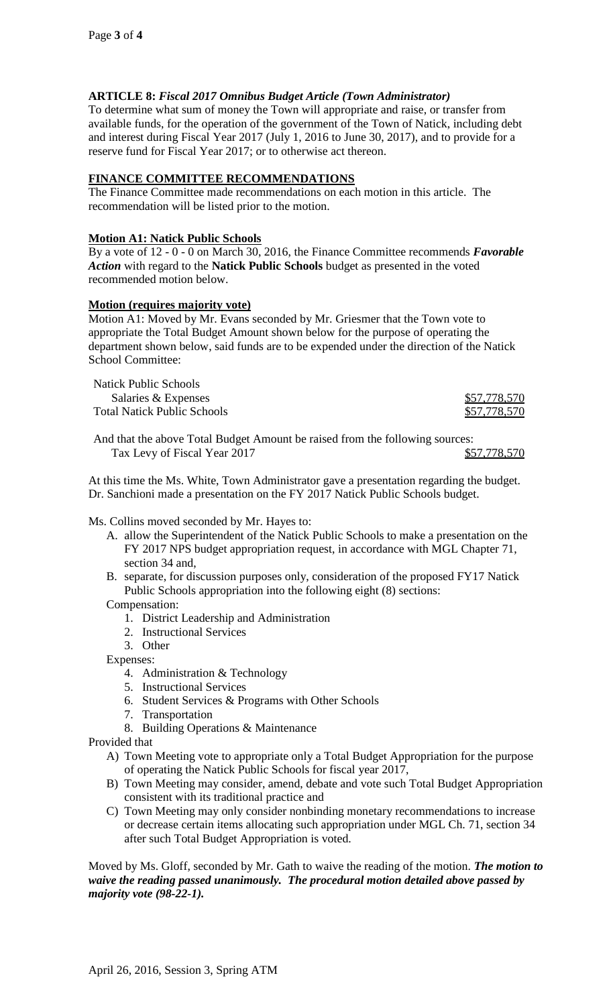# **ARTICLE 8:** *Fiscal 2017 Omnibus Budget Article (Town Administrator)*

To determine what sum of money the Town will appropriate and raise, or transfer from available funds, for the operation of the government of the Town of Natick, including debt and interest during Fiscal Year 2017 (July 1, 2016 to June 30, 2017), and to provide for a reserve fund for Fiscal Year 2017; or to otherwise act thereon.

# **FINANCE COMMITTEE RECOMMENDATIONS**

The Finance Committee made recommendations on each motion in this article. The recommendation will be listed prior to the motion.

## **Motion A1: Natick Public Schools**

By a vote of 12 - 0 - 0 on March 30, 2016, the Finance Committee recommends *Favorable Action* with regard to the **Natick Public Schools** budget as presented in the voted recommended motion below.

## **Motion (requires majority vote)**

Motion A1: Moved by Mr. Evans seconded by Mr. Griesmer that the Town vote to appropriate the Total Budget Amount shown below for the purpose of operating the department shown below, said funds are to be expended under the direction of the Natick School Committee:

Natick Public Schools Salaries & Expenses  $$57,778,570$ Total Natick Public Schools  $$57,778,570$ 

And that the above Total Budget Amount be raised from the following sources: Tax Levy of Fiscal Year 2017 \$57,778,570

At this time the Ms. White, Town Administrator gave a presentation regarding the budget. Dr. Sanchioni made a presentation on the FY 2017 Natick Public Schools budget.

Ms. Collins moved seconded by Mr. Hayes to:

- A. allow the Superintendent of the Natick Public Schools to make a presentation on the FY 2017 NPS budget appropriation request, in accordance with MGL Chapter 71, section 34 and,
- B. separate, for discussion purposes only, consideration of the proposed FY17 Natick Public Schools appropriation into the following eight (8) sections:

Compensation:

- 1. District Leadership and Administration
- 2. Instructional Services
- 3. Other

Expenses:

- 4. Administration & Technology
- 5. Instructional Services
- 6. Student Services & Programs with Other Schools
- 7. Transportation
- 8. Building Operations & Maintenance

Provided that

- A) Town Meeting vote to appropriate only a Total Budget Appropriation for the purpose of operating the Natick Public Schools for fiscal year 2017,
- B) Town Meeting may consider, amend, debate and vote such Total Budget Appropriation consistent with its traditional practice and
- C) Town Meeting may only consider nonbinding monetary recommendations to increase or decrease certain items allocating such appropriation under MGL Ch. 71, section 34 after such Total Budget Appropriation is voted.

Moved by Ms. Gloff, seconded by Mr. Gath to waive the reading of the motion. *The motion to waive the reading passed unanimously. The procedural motion detailed above passed by majority vote (98-22-1).*